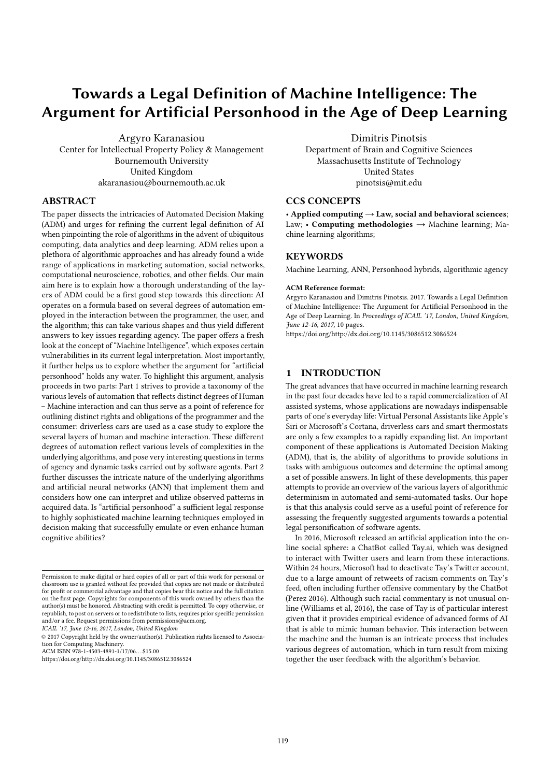# Towards a Legal Definition of Machine Intelligence: The Argument for Artificial Personhood in the Age of Deep Learning

Argyro Karanasiou Center for Intellectual Property Policy & Management Bournemouth University United Kingdom akaranasiou@bournemouth.ac.uk

### ABSTRACT

The paper dissects the intricacies of Automated Decision Making (ADM) and urges for refining the current legal definition of AI when pinpointing the role of algorithms in the advent of ubiquitous computing, data analytics and deep learning. ADM relies upon a plethora of algorithmic approaches and has already found a wide range of applications in marketing automation, social networks, computational neuroscience, robotics, and other fields. Our main aim here is to explain how a thorough understanding of the layers of ADM could be a first good step towards this direction: AI operates on a formula based on several degrees of automation employed in the interaction between the programmer, the user, and the algorithm; this can take various shapes and thus yield different answers to key issues regarding agency. The paper offers a fresh look at the concept of "Machine Intelligence", which exposes certain vulnerabilities in its current legal interpretation. Most importantly, it further helps us to explore whether the argument for "artificial personhood" holds any water. To highlight this argument, analysis proceeds in two parts: Part 1 strives to provide a taxonomy of the various levels of automation that reflects distinct degrees of Human – Machine interaction and can thus serve as a point of reference for outlining distinct rights and obligations of the programmer and the consumer: driverless cars are used as a case study to explore the several layers of human and machine interaction. These different degrees of automation reflect various levels of complexities in the underlying algorithms, and pose very interesting questions in terms of agency and dynamic tasks carried out by software agents. Part 2 further discusses the intricate nature of the underlying algorithms and artificial neural networks (ANN) that implement them and considers how one can interpret and utilize observed patterns in acquired data. Is "artificial personhood" a sufficient legal response to highly sophisticated machine learning techniques employed in decision making that successfully emulate or even enhance human cognitive abilities?

© 2017 Copyright held by the owner/author(s). Publication rights licensed to Association for Computing Machinery.

Dimitris Pinotsis Department of Brain and Cognitive Sciences Massachusetts Institute of Technology United States pinotsis@mit.edu

### CCS CONCEPTS

• Applied computing  $\rightarrow$  Law, social and behavioral sciences; Law; • Computing methodologies  $\rightarrow$  Machine learning; Machine learning algorithms;

### **KEYWORDS**

Machine Learning, ANN, Personhood hybrids, algorithmic agency

#### ACM Reference format:

Argyro Karanasiou and Dimitris Pinotsis. 2017. Towards a Legal Definition of Machine Intelligence: The Argument for Artificial Personhood in the Age of Deep Learning. In *Proceedings of ICAIL '17, London, United Kingdom, June 12-16, 2017,* 10 pages.

https://doi.org/http://dx.doi.org/10.1145/3086512.3086524

### 1 INTRODUCTION

The great advances that have occurred in machine learning research in the past four decades have led to a rapid commercialization of AI assisted systems, whose applications are nowadays indispensable parts of one's everyday life: Virtual Personal Assistants like Apple's Siri or Microsoft's Cortana, driverless cars and smart thermostats are only a few examples to a rapidly expanding list. An important component of these applications is Automated Decision Making (ADM), that is, the ability of algorithms to provide solutions in tasks with ambiguous outcomes and determine the optimal among a set of possible answers. In light of these developments, this paper attempts to provide an overview of the various layers of algorithmic determinism in automated and semi-automated tasks. Our hope is that this analysis could serve as a useful point of reference for assessing the frequently suggested arguments towards a potential legal personification of software agents.

In 2016, Microsoft released an artificial application into the online social sphere: a ChatBot called Tay.ai, which was designed to interact with Twitter users and learn from these interactions. Within 24 hours, Microsoft had to deactivate Tay's Twitter account, due to a large amount of retweets of racism comments on Tay's feed, often including further offensive commentary by the ChatBot (Perez 2016). Although such racial commentary is not unusual online (Williams et al, 2016), the case of Tay is of particular interest given that it provides empirical evidence of advanced forms of AI that is able to mimic human behavior. This interaction between the machine and the human is an intricate process that includes various degrees of automation, which in turn result from mixing together the user feedback with the algorithm's behavior.

Permission to make digital or hard copies of all or part of this work for personal or classroom use is granted without fee provided that copies are not made or distributed for profit or commercial advantage and that copies bear this notice and the full citation<br>on the first page. Copyrights for components of this work owned by others than the author(s) must be honored. Abstracting with credit is permitted. To copy otherwise, or republish, to post on servers or to redistribute to lists, requires prior specific permission and/or a fee. Request permissions from permissions@acm.org. *ICAIL '17, June 12-16, 2017, London, United Kingdom*

ACM ISBN 978-1-4503-4891-1/17/06. . . \$15.00

https://doi.org/http://dx.doi.org/10.1145/3086512.3086524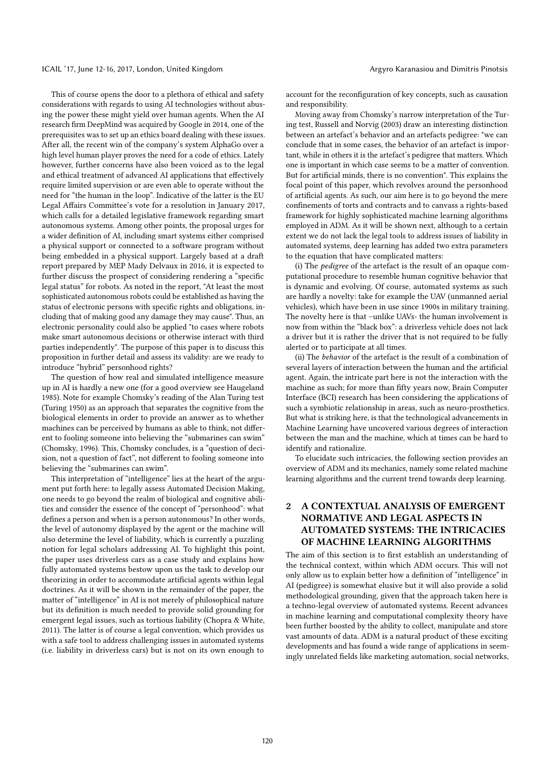#### ICAIL '17, June 12-16, 2017, London, United Kingdom Argyro Karanasiou and Dimitris Pinotsis

This of course opens the door to a plethora of ethical and safety considerations with regards to using AI technologies without abusing the power these might yield over human agents. When the AI research firm DeepMind was acquired by Google in 2014, one of the prerequisites was to set up an ethics board dealing with these issues. After all, the recent win of the company's system AlphaGo over a high level human player proves the need for a code of ethics. Lately however, further concerns have also been voiced as to the legal and ethical treatment of advanced AI applications that effectively require limited supervision or are even able to operate without the need for "the human in the loop". Indicative of the latter is the EU Legal Affairs Committee's vote for a resolution in January 2017, which calls for a detailed legislative framework regarding smart autonomous systems. Among other points, the proposal urges for a wider definition of AI, including smart systems either comprised a physical support or connected to a software program without being embedded in a physical support. Largely based at a draft report prepared by MEP Mady Delvaux in 2016, it is expected to further discuss the prospect of considering rendering a "specific legal status" for robots. As noted in the report, "At least the most sophisticated autonomous robots could be established as having the status of electronic persons with specific rights and obligations, including that of making good any damage they may cause". Thus, an electronic personality could also be applied "to cases where robots make smart autonomous decisions or otherwise interact with third parties independently". The purpose of this paper is to discuss this proposition in further detail and assess its validity: are we ready to introduce "hybrid" personhood rights?

The question of how real and simulated intelligence measure up in AI is hardly a new one (for a good overview see Haugeland 1985). Note for example Chomsky's reading of the Alan Turing test (Turing 1950) as an approach that separates the cognitive from the biological elements in order to provide an answer as to whether machines can be perceived by humans as able to think, not different to fooling someone into believing the "submarines can swim" (Chomsky, 1996). This, Chomsky concludes, is a "question of decision, not a question of fact", not different to fooling someone into believing the "submarines can swim".

This interpretation of "intelligence" lies at the heart of the argument put forth here: to legally assess Automated Decision Making, one needs to go beyond the realm of biological and cognitive abilities and consider the essence of the concept of "personhood": what defines a person and when is a person autonomous? In other words, the level of autonomy displayed by the agent or the machine will also determine the level of liability, which is currently a puzzling notion for legal scholars addressing AI. To highlight this point, the paper uses driverless cars as a case study and explains how fully automated systems bestow upon us the task to develop our theorizing in order to accommodate artificial agents within legal doctrines. As it will be shown in the remainder of the paper, the matter of "intelligence" in AI is not merely of philosophical nature but its definition is much needed to provide solid grounding for emergent legal issues, such as tortious liability (Chopra & White, 2011). The latter is of course a legal convention, which provides us with a safe tool to address challenging issues in automated systems (i.e. liability in driverless cars) but is not on its own enough to

account for the reconfiguration of key concepts, such as causation and responsibility.

Moving away from Chomsky's narrow interpretation of the Turing test, Russell and Norvig (2003) draw an interesting distinction between an artefact's behavior and an artefacts pedigree: "we can conclude that in some cases, the behavior of an artefact is important, while in others it is the artefact's pedigree that matters. Which one is important in which case seems to be a matter of convention. But for artificial minds, there is no convention". This explains the focal point of this paper, which revolves around the personhood of artificial agents. As such, our aim here is to go beyond the mere confinements of torts and contracts and to canvass a rights-based framework for highly sophisticated machine learning algorithms employed in ADM. As it will be shown next, although to a certain extent we do not lack the legal tools to address issues of liability in automated systems, deep learning has added two extra parameters to the equation that have complicated matters:

(i) The *pedigree* of the artefact is the result of an opaque computational procedure to resemble human cognitive behavior that is dynamic and evolving. Of course, automated systems as such are hardly a novelty: take for example the UAV (unmanned aerial vehicles), which have been in use since 1900s in military training. The novelty here is that –unlike UAVs- the human involvement is now from within the "black box": a driverless vehicle does not lack a driver but it is rather the driver that is not required to be fully alerted or to participate at all times.

(ii) The *behavior* of the artefact is the result of a combination of several layers of interaction between the human and the artificial agent. Again, the intricate part here is not the interaction with the machine as such; for more than fifty years now, Brain Computer Interface (BCI) research has been considering the applications of such a symbiotic relationship in areas, such as neuro-prosthetics. But what is striking here, is that the technological advancements in Machine Learning have uncovered various degrees of interaction between the man and the machine, which at times can be hard to identify and rationalize.

To elucidate such intricacies, the following section provides an overview of ADM and its mechanics, namely some related machine learning algorithms and the current trend towards deep learning.

## 2 A CONTEXTUAL ANALYSIS OF EMERGENT NORMATIVE AND LEGAL ASPECTS IN AUTOMATED SYSTEMS: THE INTRICACIES OF MACHINE LEARNING ALGORITHMS

The aim of this section is to first establish an understanding of the technical context, within which ADM occurs. This will not only allow us to explain better how a definition of "intelligence" in AI (pedigree) is somewhat elusive but it will also provide a solid methodological grounding, given that the approach taken here is a techno-legal overview of automated systems. Recent advances in machine learning and computational complexity theory have been further boosted by the ability to collect, manipulate and store vast amounts of data. ADM is a natural product of these exciting developments and has found a wide range of applications in seemingly unrelated fields like marketing automation, social networks,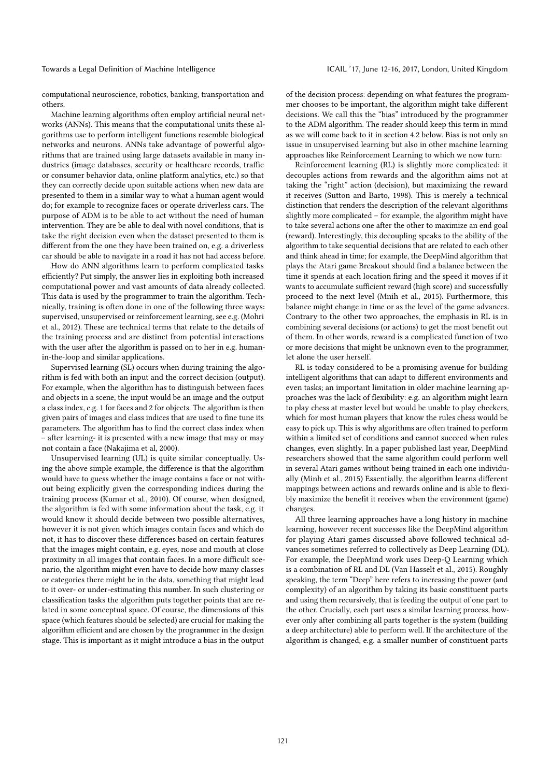computational neuroscience, robotics, banking, transportation and others.

Machine learning algorithms often employ artificial neural networks (ANNs). This means that the computational units these algorithms use to perform intelligent functions resemble biological networks and neurons. ANNs take advantage of powerful algorithms that are trained using large datasets available in many industries (image databases, security or healthcare records, traffic or consumer behavior data, online platform analytics, etc.) so that they can correctly decide upon suitable actions when new data are presented to them in a similar way to what a human agent would do; for example to recognize faces or operate driverless cars. The purpose of ADM is to be able to act without the need of human intervention. They are be able to deal with novel conditions, that is take the right decision even when the dataset presented to them is different from the one they have been trained on, e.g. a driverless car should be able to navigate in a road it has not had access before.

How do ANN algorithms learn to perform complicated tasks efficiently? Put simply, the answer lies in exploiting both increased computational power and vast amounts of data already collected. This data is used by the programmer to train the algorithm. Technically, training is often done in one of the following three ways: supervised, unsupervised or reinforcement learning, see e.g. (Mohri et al., 2012). These are technical terms that relate to the details of the training process and are distinct from potential interactions with the user after the algorithm is passed on to her in e.g. humanin-the-loop and similar applications.

Supervised learning (SL) occurs when during training the algorithm is fed with both an input and the correct decision (output). For example, when the algorithm has to distinguish between faces and objects in a scene, the input would be an image and the output a class index, e.g. 1 for faces and 2 for objects. The algorithm is then given pairs of images and class indices that are used to fine tune its parameters. The algorithm has to find the correct class index when – after learning- it is presented with a new image that may or may not contain a face (Nakajima et al, 2000).

Unsupervised learning (UL) is quite similar conceptually. Using the above simple example, the difference is that the algorithm would have to guess whether the image contains a face or not without being explicitly given the corresponding indices during the training process (Kumar et al., 2010). Of course, when designed, the algorithm is fed with some information about the task, e.g. it would know it should decide between two possible alternatives, however it is not given which images contain faces and which do not, it has to discover these differences based on certain features that the images might contain, e.g. eyes, nose and mouth at close proximity in all images that contain faces. In a more difficult scenario, the algorithm might even have to decide how many classes or categories there might be in the data, something that might lead to it over- or under-estimating this number. In such clustering or classification tasks the algorithm puts together points that are related in some conceptual space. Of course, the dimensions of this space (which features should be selected) are crucial for making the algorithm efficient and are chosen by the programmer in the design stage. This is important as it might introduce a bias in the output

of the decision process: depending on what features the programmer chooses to be important, the algorithm might take different decisions. We call this the "bias" introduced by the programmer to the ADM algorithm. The reader should keep this term in mind as we will come back to it in section 4.2 below. Bias is not only an issue in unsupervised learning but also in other machine learning approaches like Reinforcement Learning to which we now turn:

Reinforcement learning (RL) is slightly more complicated: it decouples actions from rewards and the algorithm aims not at taking the "right" action (decision), but maximizing the reward it receives (Sutton and Barto, 1998). This is merely a technical distinction that renders the description of the relevant algorithms slightly more complicated – for example, the algorithm might have to take several actions one after the other to maximize an end goal (reward). Interestingly, this decoupling speaks to the ability of the algorithm to take sequential decisions that are related to each other and think ahead in time; for example, the DeepMind algorithm that plays the Atari game Breakout should find a balance between the time it spends at each location firing and the speed it moves if it wants to accumulate sufficient reward (high score) and successfully proceed to the next level (Mnih et al., 2015). Furthermore, this balance might change in time or as the level of the game advances. Contrary to the other two approaches, the emphasis in RL is in combining several decisions (or actions) to get the most benefit out of them. In other words, reward is a complicated function of two or more decisions that might be unknown even to the programmer, let alone the user herself.

RL is today considered to be a promising avenue for building intelligent algorithms that can adapt to different environments and even tasks; an important limitation in older machine learning approaches was the lack of flexibility: e.g. an algorithm might learn to play chess at master level but would be unable to play checkers, which for most human players that know the rules chess would be easy to pick up. This is why algorithms are often trained to perform within a limited set of conditions and cannot succeed when rules changes, even slightly. In a paper published last year, DeepMind researchers showed that the same algorithm could perform well in several Atari games without being trained in each one individually (Minh et al., 2015) Essentially, the algorithm learns different mappings between actions and rewards online and is able to flexibly maximize the benefit it receives when the environment (game) changes.

All three learning approaches have a long history in machine learning, however recent successes like the DeepMind algorithm for playing Atari games discussed above followed technical advances sometimes referred to collectively as Deep Learning (DL). For example, the DeepMind work uses Deep-Q Learning which is a combination of RL and DL (Van Hasselt et al., 2015). Roughly speaking, the term "Deep" here refers to increasing the power (and complexity) of an algorithm by taking its basic constituent parts and using them recursively, that is feeding the output of one part to the other. Crucially, each part uses a similar learning process, however only after combining all parts together is the system (building a deep architecture) able to perform well. If the architecture of the algorithm is changed, e.g. a smaller number of constituent parts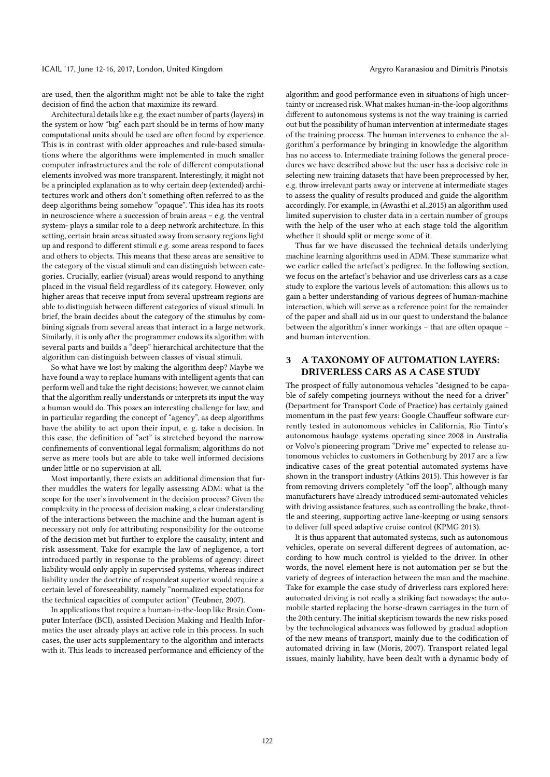are used, then the algorithm might not be able to take the right decision of find the action that maximize its reward.

Architectural details like e.g. the exact number of parts (layers) in the system or how "big" each part should be in terms of how many computational units should be used are often found by experience. This is in contrast with older approaches and rule-based simulations where the algorithms were implemented in much smaller computer infrastructures and the role of different computational elements involved was more transparent. Interestingly, it might not be a principled explanation as to why certain deep (extended) architectures work and others don't something often referred to as the deep algorithms being somehow "opaque". This idea has its roots in neuroscience where a succession of brain areas – e.g. the ventral system- plays a similar role to a deep network architecture. In this setting, certain brain areas situated away from sensory regions light up and respond to different stimuli e.g. some areas respond to faces and others to objects. This means that these areas are sensitive to the category of the visual stimuli and can distinguish between categories. Crucially, earlier (visual) areas would respond to anything placed in the visual field regardless of its category. However, only higher areas that receive input from several upstream regions are able to distinguish between different categories of visual stimuli. In brief, the brain decides about the category of the stimulus by combining signals from several areas that interact in a large network. Similarly, it is only after the programmer endows its algorithm with several parts and builds a "deep" hierarchical architecture that the algorithm can distinguish between classes of visual stimuli.

So what have we lost by making the algorithm deep? Maybe we have found a way to replace humans with intelligent agents that can perform well and take the right decisions; however, we cannot claim that the algorithm really understands or interprets its input the way a human would do. This poses an interesting challenge for law, and in particular regarding the concept of "agency", as deep algorithms have the ability to act upon their input, e. g. take a decision. In this case, the definition of "act" is stretched beyond the narrow confinements of conventional legal formalism; algorithms do not serve as mere tools but are able to take well informed decisions under little or no supervision at all.

Most importantly, there exists an additional dimension that further muddles the waters for legally assessing ADM: what is the scope for the user's involvement in the decision process? Given the complexity in the process of decision making, a clear understanding of the interactions between the machine and the human agent is necessary not only for attributing responsibility for the outcome of the decision met but further to explore the causality, intent and risk assessment. Take for example the law of negligence, a tort introduced partly in response to the problems of agency: direct liability would only apply in supervised systems, whereas indirect liability under the doctrine of respondeat superior would require a certain level of foreseeability, namely "normalized expectations for the technical capacities of computer action" (Teubner, 2007).

In applications that require a human-in-the-loop like Brain Computer Interface (BCI), assisted Decision Making and Health Informatics the user already plays an active role in this process. In such cases, the user acts supplementary to the algorithm and interacts with it. This leads to increased performance and efficiency of the

algorithm and good performance even in situations of high uncertainty or increased risk. What makes human-in-the-loop algorithms different to autonomous systems is not the way training is carried out but the possibility of human intervention at intermediate stages of the training process. The human intervenes to enhance the algorithm's performance by bringing in knowledge the algorithm has no access to. Intermediate training follows the general procedures we have described above but the user has a decisive role in selecting new training datasets that have been preprocessed by her, e.g. throw irrelevant parts away or intervene at intermediate stages to assess the quality of results produced and guide the algorithm accordingly. For example, in (Awasthi et al.,2015) an algorithm used limited supervision to cluster data in a certain number of groups with the help of the user who at each stage told the algorithm whether it should split or merge some of it.

Thus far we have discussed the technical details underlying machine learning algorithms used in ADM. These summarize what we earlier called the artefact's pedigree. In the following section, we focus on the artefact's behavior and use driverless cars as a case study to explore the various levels of automation: this allows us to gain a better understanding of various degrees of human-machine interaction, which will serve as a reference point for the remainder of the paper and shall aid us in our quest to understand the balance between the algorithm's inner workings – that are often opaque – and human intervention.

### 3 A TAXONOMY OF AUTOMATION LAYERS: DRIVERLESS CARS AS A CASE STUDY

The prospect of fully autonomous vehicles "designed to be capable of safely competing journeys without the need for a driver" (Department for Transport Code of Practice) has certainly gained momentum in the past few years: Google Chauffeur software currently tested in autonomous vehicles in California, Rio Tinto's autonomous haulage systems operating since 2008 in Australia or Volvo's pioneering program "Drive me" expected to release autonomous vehicles to customers in Gothenburg by 2017 are a few indicative cases of the great potential automated systems have shown in the transport industry (Atkins 2015). This however is far from removing drivers completely "off the loop", although many manufacturers have already introduced semi-automated vehicles with driving assistance features, such as controlling the brake, throttle and steering, supporting active lane-keeping or using sensors to deliver full speed adaptive cruise control (KPMG 2013).

It is thus apparent that automated systems, such as autonomous vehicles, operate on several different degrees of automation, according to how much control is yielded to the driver. In other words, the novel element here is not automation per se but the variety of degrees of interaction between the man and the machine. Take for example the case study of driverless cars explored here: automated driving is not really a striking fact nowadays; the automobile started replacing the horse-drawn carriages in the turn of the 20th century. The initial skepticism towards the new risks posed by the technological advances was followed by gradual adoption of the new means of transport, mainly due to the codification of automated driving in law (Moris, 2007). Transport related legal issues, mainly liability, have been dealt with a dynamic body of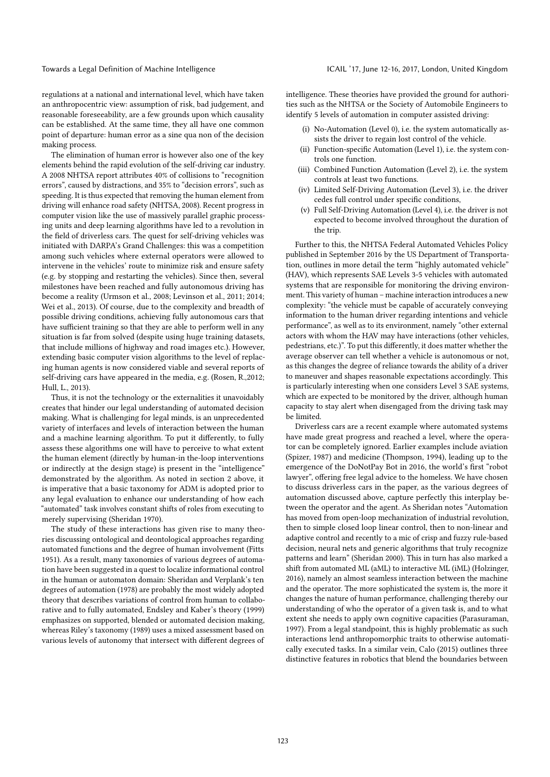regulations at a national and international level, which have taken an anthropocentric view: assumption of risk, bad judgement, and reasonable foreseeability, are a few grounds upon which causality can be established. At the same time, they all have one common point of departure: human error as a sine qua non of the decision making process.

The elimination of human error is however also one of the key elements behind the rapid evolution of the self-driving car industry. A 2008 NHTSA report attributes 40% of collisions to "recognition errors", caused by distractions, and 35% to "decision errors", such as speeding. It is thus expected that removing the human element from driving will enhance road safety (NHTSA, 2008). Recent progress in computer vision like the use of massively parallel graphic processing units and deep learning algorithms have led to a revolution in the field of driverless cars. The quest for self-driving vehicles was initiated with DARPA's Grand Challenges: this was a competition among such vehicles where external operators were allowed to intervene in the vehicles' route to minimize risk and ensure safety (e.g. by stopping and restarting the vehicles). Since then, several milestones have been reached and fully autonomous driving has become a reality (Urmson et al., 2008; Levinson et al., 2011; 2014; Wei et al., 2013). Of course, due to the complexity and breadth of possible driving conditions, achieving fully autonomous cars that have sufficient training so that they are able to perform well in any situation is far from solved (despite using huge training datasets, that include millions of highway and road images etc.). However, extending basic computer vision algorithms to the level of replacing human agents is now considered viable and several reports of self-driving cars have appeared in the media, e.g. (Rosen, R.,2012; Hull, L., 2013).

Thus, it is not the technology or the externalities it unavoidably creates that hinder our legal understanding of automated decision making. What is challenging for legal minds, is an unprecedented variety of interfaces and levels of interaction between the human and a machine learning algorithm. To put it differently, to fully assess these algorithms one will have to perceive to what extent the human element (directly by human-in the-loop interventions or indirectly at the design stage) is present in the "intelligence" demonstrated by the algorithm. As noted in section 2 above, it is imperative that a basic taxonomy for ADM is adopted prior to any legal evaluation to enhance our understanding of how each "automated" task involves constant shifts of roles from executing to merely supervising (Sheridan 1970).

The study of these interactions has given rise to many theories discussing ontological and deontological approaches regarding automated functions and the degree of human involvement (Fitts 1951). As a result, many taxonomies of various degrees of automation have been suggested in a quest to localize informational control in the human or automaton domain: Sheridan and Verplank's ten degrees of automation (1978) are probably the most widely adopted theory that describes variations of control from human to collaborative and to fully automated, Endsley and Kaber's theory (1999) emphasizes on supported, blended or automated decision making, whereas Riley's taxonomy (1989) uses a mixed assessment based on various levels of autonomy that intersect with different degrees of intelligence. These theories have provided the ground for authorities such as the NHTSA or the Society of Automobile Engineers to identify 5 levels of automation in computer assisted driving:

- (i) No-Automation (Level 0), i.e. the system automatically assists the driver to regain lost control of the vehicle.
- (ii) Function-specific Automation (Level 1), i.e. the system controls one function.
- (iii) Combined Function Automation (Level 2), i.e. the system controls at least two functions.
- (iv) Limited Self-Driving Automation (Level 3), i.e. the driver cedes full control under specific conditions,
- (v) Full Self-Driving Automation (Level 4), i.e. the driver is not expected to become involved throughout the duration of the trip.

Further to this, the NHTSA Federal Automated Vehicles Policy published in September 2016 by the US Department of Transportation, outlines in more detail the term "highly automated vehicle" (HAV), which represents SAE Levels 3-5 vehicles with automated systems that are responsible for monitoring the driving environment. This variety of human – machine interaction introduces a new complexity: "the vehicle must be capable of accurately conveying information to the human driver regarding intentions and vehicle performance", as well as to its environment, namely "other external actors with whom the HAV may have interactions (other vehicles, pedestrians, etc.)". To put this differently, it does matter whether the average observer can tell whether a vehicle is autonomous or not, as this changes the degree of reliance towards the ability of a driver to maneuver and shapes reasonable expectations accordingly. This is particularly interesting when one considers Level 3 SAE systems, which are expected to be monitored by the driver, although human capacity to stay alert when disengaged from the driving task may be limited.

Driverless cars are a recent example where automated systems have made great progress and reached a level, where the operator can be completely ignored. Earlier examples include aviation (Spizer, 1987) and medicine (Thompson, 1994), leading up to the emergence of the DoNotPay Bot in 2016, the world's first "robot lawyer", offering free legal advice to the homeless. We have chosen to discuss driverless cars in the paper, as the various degrees of automation discussed above, capture perfectly this interplay between the operator and the agent. As Sheridan notes "Automation has moved from open-loop mechanization of industrial revolution, then to simple closed loop linear control, then to non-linear and adaptive control and recently to a mic of crisp and fuzzy rule-based decision, neural nets and generic algorithms that truly recognize patterns and learn" (Sheridan 2000). This in turn has also marked a shift from automated ML (aML) to interactive ML (iML) (Holzinger, 2016), namely an almost seamless interaction between the machine and the operator. The more sophisticated the system is, the more it changes the nature of human performance, challenging thereby our understanding of who the operator of a given task is, and to what extent she needs to apply own cognitive capacities (Parasuraman, 1997). From a legal standpoint, this is highly problematic as such interactions lend anthropomorphic traits to otherwise automatically executed tasks. In a similar vein, Calo (2015) outlines three distinctive features in robotics that blend the boundaries between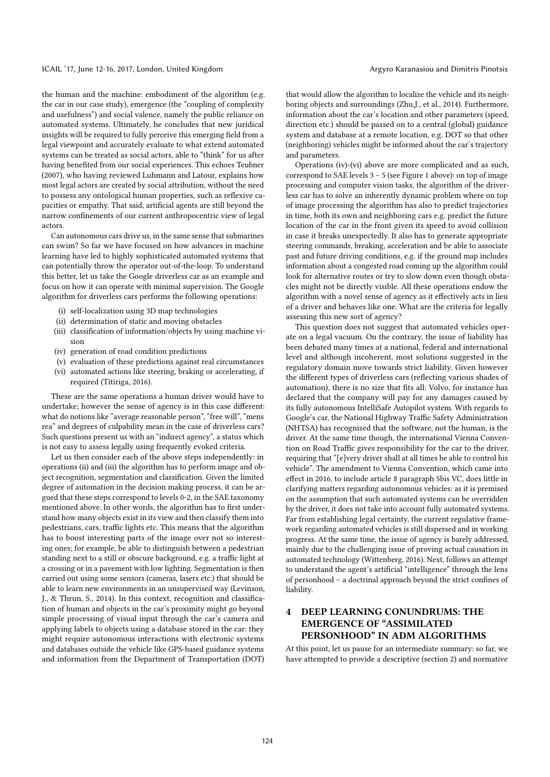#### ICAIL '17, June 12-16, 2017, London, United Kingdom Argyro Karanasiou and Dimitris Pinotsis

the human and the machine: embodiment of the algorithm (e.g. the car in our case study), emergence (the "coupling of complexity and usefulness") and social valence, namely the public reliance on automated systems. Ultimately, he concludes that new juridical insights will be required to fully perceive this emerging field from a legal viewpoint and accurately evaluate to what extend automated systems can be treated as social actors, able to "think" for us after having benefited from our social experiences. This echoes Teubner (2007), who having reviewed Luhmann and Latour, explains how most legal actors are created by social attribution, without the need to possess any ontological human properties, such as reflexive capacities or empathy. That said, artificial agents are still beyond the narrow confinements of our current anthropocentric view of legal actors.

Can autonomous cars drive us, in the same sense that submarines can swim? So far we have focused on how advances in machine learning have led to highly sophisticated automated systems that can potentially throw the operator out-of-the-loop. To understand this better, let us take the Google driverless car as an example and focus on how it can operate with minimal supervision. The Google algorithm for driverless cars performs the following operations:

- (i) self-localization using 3D map technologies
- (ii) determination of static and moving obstacles
- (iii) classification of information/objects by using machine vision
- (iv) generation of road condition predictions
- (v) evaluation of these predictions against real circumstances
- (vi) automated actions like steering, braking or accelerating, if required (Titiriga, 2016).

These are the same operations a human driver would have to undertake; however the sense of agency is in this case different: what do notions like "average reasonable person", "free will", "mens rea" and degrees of culpability mean in the case of driverless cars? Such questions present us with an "indirect agency", a status which is not easy to assess legally using frequently evoked criteria.

Let us then consider each of the above steps independently: in operations (ii) and (iii) the algorithm has to perform image and object recognition, segmentation and classification. Given the limited degree of automation in the decision making process, it can be argued that these steps correspond to levels 0-2, in the SAE taxonomy mentioned above. In other words, the algorithm has to first understand how many objects exist in its view and then classify them into pedestrians, cars, traffic lights etc. This means that the algorithm has to boost interesting parts of the image over not so interesting ones; for example, be able to distinguish between a pedestrian standing next to a still or obscure background, e.g. a traffic light at a crossing or in a pavement with low lighting. Segmentation is then carried out using some sensors (cameras, lasers etc.) that should be able to learn new environments in an unsupervised way (Levinson, J., & Thrun, S., 2014). In this context, recognition and classification of human and objects in the car's proximity might go beyond simple processing of visual input through the car's camera and applying labels to objects using a database stored in the car: they might require autonomous interactions with electronic systems and databases outside the vehicle like GPS-based guidance systems and information from the Department of Transportation (DOT)

that would allow the algorithm to localize the vehicle and its neighboring objects and surroundings (Zhu,J., et al., 2014). Furthermore, information about the car's location and other parameters (speed, direction etc.) should be passed on to a central (global) guidance system and database at a remote location, e.g. DOT so that other (neighboring) vehicles might be informed about the car's trajectory and parameters.

Operations (iv)-(vi) above are more complicated and as such, correspond to SAE levels 3 – 5 (see Figure 1 above): on top of image processing and computer vision tasks, the algorithm of the driverless car has to solve an inherently dynamic problem where on top of image processing the algorithm has also to predict trajectories in time, both its own and neighboring cars e.g. predict the future location of the car in the front given its speed to avoid collision in case it breaks unexpectedly. It also has to generate appropriate steering commands, breaking, acceleration and be able to associate past and future driving conditions, e.g. if the ground map includes information about a congested road coming up the algorithm could look for alternative routes or try to slow down even though obstacles might not be directly visible. All these operations endow the algorithm with a novel sense of agency as it effectively acts in lieu of a driver and behaves like one. What are the criteria for legally assessing this new sort of agency?

This question does not suggest that automated vehicles operate on a legal vacuum. On the contrary, the issue of liability has been debated many times at a national, federal and international level and although incoherent, most solutions suggested in the regulatory domain move towards strict liability. Given however the different types of driverless cars (reflecting various shades of automation), there is no size that fits all: Volvo, for instance has declared that the company will pay for any damages caused by its fully autonomous IntelliSafe Autopilot system. With regards to Google's car, the National Highway Traffic Safety Administration (NHTSA) has recognized that the software, not the human, is the driver. At the same time though, the international Vienna Convention on Road Traffic gives responsibility for the car to the driver, requiring that "[e]very driver shall at all times be able to control his vehicle". The amendment to Vienna Convention, which came into effect in 2016, to include article 8 paragraph 5bis VC, does little in clarifying matters regarding autonomous vehicles: as it is premised on the assumption that such automated systems can be overridden by the driver, it does not take into account fully automated systems. Far from establishing legal certainty, the current regulative framework regarding automated vehicles is still dispersed and in working progress. At the same time, the issue of agency is barely addressed, mainly due to the challenging issue of proving actual causation in automated technology (Wittenberg, 2016). Next, follows an attempt to understand the agent's artificial "intelligence" through the lens of personhood - a doctrinal approach beyond the strict confines of liability.

## 4 DEEP LEARNING CONUNDRUMS: THE EMERGENCE OF "ASSIMILATED PERSONHOOD" IN ADM ALGORITHMS

At this point, let us pause for an intermediate summary: so far, we have attempted to provide a descriptive (section 2) and normative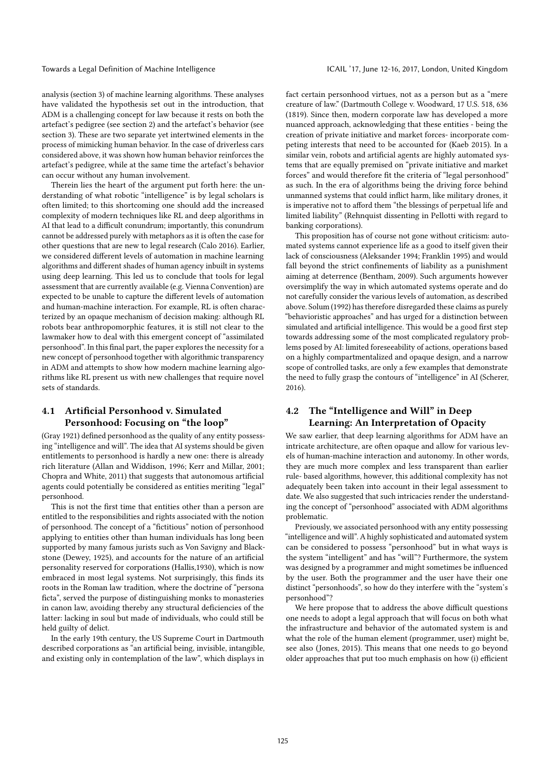analysis (section 3) of machine learning algorithms. These analyses have validated the hypothesis set out in the introduction, that ADM is a challenging concept for law because it rests on both the artefact's pedigree (see section 2) and the artefact's behavior (see section 3). These are two separate yet intertwined elements in the process of mimicking human behavior. In the case of driverless cars considered above, it was shown how human behavior reinforces the artefact's pedigree, while at the same time the artefact's behavior can occur without any human involvement.

Therein lies the heart of the argument put forth here: the understanding of what robotic "intelligence" is by legal scholars is often limited; to this shortcoming one should add the increased complexity of modern techniques like RL and deep algorithms in AI that lead to a difficult conundrum; importantly, this conundrum cannot be addressed purely with metaphors as it is often the case for other questions that are new to legal research (Calo 2016). Earlier, we considered different levels of automation in machine learning algorithms and different shades of human agency inbuilt in systems using deep learning. This led us to conclude that tools for legal assessment that are currently available (e.g. Vienna Convention) are expected to be unable to capture the different levels of automation and human-machine interaction. For example, RL is often characterized by an opaque mechanism of decision making: although RL robots bear anthropomorphic features, it is still not clear to the lawmaker how to deal with this emergent concept of "assimilated personhood". In this final part, the paper explores the necessity for a new concept of personhood together with algorithmic transparency in ADM and attempts to show how modern machine learning algorithms like RL present us with new challenges that require novel sets of standards.

### 4.1 Artificial Personhood v. Simulated Personhood: Focusing on "the loop"

(Gray 1921) defined personhood as the quality of any entity possessing "intelligence and will". The idea that AI systems should be given entitlements to personhood is hardly a new one: there is already rich literature (Allan and Widdison, 1996; Kerr and Millar, 2001; Chopra and White, 2011) that suggests that autonomous artificial agents could potentially be considered as entities meriting "legal" personhood.

This is not the first time that entities other than a person are entitled to the responsibilities and rights associated with the notion of personhood. The concept of a "fictitious" notion of personhood applying to entities other than human individuals has long been supported by many famous jurists such as Von Savigny and Blackstone (Dewey, 1925), and accounts for the nature of an artificial personality reserved for corporations (Hallis,1930), which is now embraced in most legal systems. Not surprisingly, this finds its roots in the Roman law tradition, where the doctrine of "persona ficta", served the purpose of distinguishing monks to monasteries in canon law, avoiding thereby any structural deficiencies of the latter: lacking in soul but made of individuals, who could still be held guilty of delict.

In the early 19th century, the US Supreme Court in Dartmouth described corporations as "an artificial being, invisible, intangible, and existing only in contemplation of the law", which displays in

fact certain personhood virtues, not as a person but as a "mere creature of law." (Dartmouth College v. Woodward, 17 U.S. 518, 636 (1819). Since then, modern corporate law has developed a more nuanced approach, acknowledging that these entities - being the creation of private initiative and market forces- incorporate competing interests that need to be accounted for (Kaeb 2015). In a similar vein, robots and artificial agents are highly automated systems that are equally premised on "private initiative and market forces" and would therefore fit the criteria of "legal personhood" as such. In the era of algorithms being the driving force behind unmanned systems that could inflict harm, like military drones, it is imperative not to afford them "the blessings of perpetual life and limited liability" (Rehnquist dissenting in Pellotti with regard to banking corporations).

This proposition has of course not gone without criticism: automated systems cannot experience life as a good to itself given their lack of consciousness (Aleksander 1994; Franklin 1995) and would fall beyond the strict confinements of liability as a punishment aiming at deterrence (Bentham, 2009). Such arguments however oversimplify the way in which automated systems operate and do not carefully consider the various levels of automation, as described above. Solum (1992) has therefore disregarded these claims as purely "behavioristic approaches" and has urged for a distinction between simulated and artificial intelligence. This would be a good first step towards addressing some of the most complicated regulatory problems posed by AI: limited foreseeability of actions, operations based on a highly compartmentalized and opaque design, and a narrow scope of controlled tasks, are only a few examples that demonstrate the need to fully grasp the contours of "intelligence" in AI (Scherer, 2016).

### 4.2 The "Intelligence and Will" in Deep Learning: An Interpretation of Opacity

We saw earlier, that deep learning algorithms for ADM have an intricate architecture, are often opaque and allow for various levels of human-machine interaction and autonomy. In other words, they are much more complex and less transparent than earlier rule- based algorithms, however, this additional complexity has not adequately been taken into account in their legal assessment to date. We also suggested that such intricacies render the understanding the concept of "personhood" associated with ADM algorithms problematic.

Previously, we associated personhood with any entity possessing "intelligence and will". A highly sophisticated and automated system can be considered to possess "personhood" but in what ways is the system "intelligent" and has "will"? Furthermore, the system was designed by a programmer and might sometimes be influenced by the user. Both the programmer and the user have their one distinct "personhoods", so how do they interfere with the "system's personhood"?

We here propose that to address the above difficult questions one needs to adopt a legal approach that will focus on both what the infrastructure and behavior of the automated system is and what the role of the human element (programmer, user) might be, see also (Jones, 2015). This means that one needs to go beyond older approaches that put too much emphasis on how (i) efficient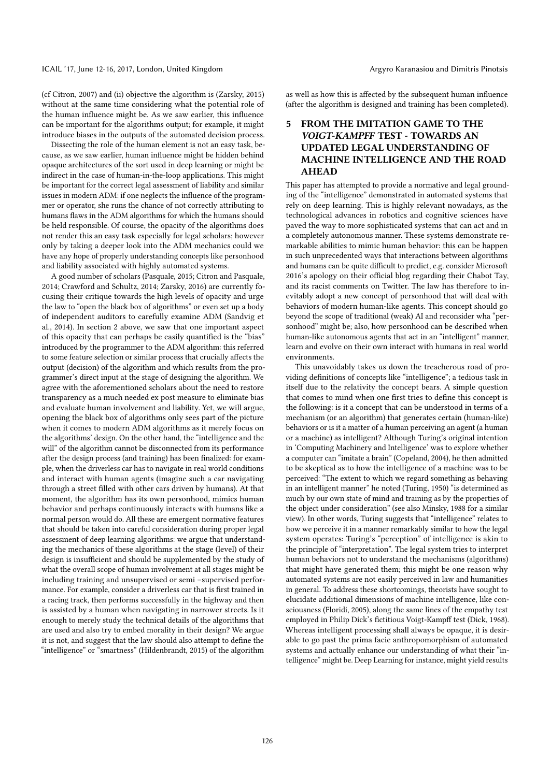(cf Citron, 2007) and (ii) objective the algorithm is (Zarsky, 2015) without at the same time considering what the potential role of the human influence might be. As we saw earlier, this influence can be important for the algorithms output; for example, it might introduce biases in the outputs of the automated decision process.

Dissecting the role of the human element is not an easy task, because, as we saw earlier, human influence might be hidden behind opaque architectures of the sort used in deep learning or might be indirect in the case of human-in-the-loop applications. This might be important for the correct legal assessment of liability and similar issues in modern ADM: if one neglects the influence of the programmer or operator, she runs the chance of not correctly attributing to humans flaws in the ADM algorithms for which the humans should be held responsible. Of course, the opacity of the algorithms does not render this an easy task especially for legal scholars; however only by taking a deeper look into the ADM mechanics could we have any hope of properly understanding concepts like personhood and liability associated with highly automated systems.

A good number of scholars (Pasquale, 2015; Citron and Pasquale, 2014; Crawford and Schultz, 2014; Zarsky, 2016) are currently focusing their critique towards the high levels of opacity and urge the law to "open the black box of algorithms" or even set up a body of independent auditors to carefully examine ADM (Sandvig et al., 2014). In section 2 above, we saw that one important aspect of this opacity that can perhaps be easily quantified is the "bias" introduced by the programmer to the ADM algorithm: this referred to some feature selection or similar process that crucially affects the output (decision) of the algorithm and which results from the programmer's direct input at the stage of designing the algorithm. We agree with the aforementioned scholars about the need to restore transparency as a much needed ex post measure to eliminate bias and evaluate human involvement and liability. Yet, we will argue, opening the black box of algorithms only sees part of the picture when it comes to modern ADM algorithms as it merely focus on the algorithms' design. On the other hand, the "intelligence and the will" of the algorithm cannot be disconnected from its performance after the design process (and training) has been finalized: for example, when the driverless car has to navigate in real world conditions and interact with human agents (imagine such a car navigating through a street filled with other cars driven by humans). At that moment, the algorithm has its own personhood, mimics human behavior and perhaps continuously interacts with humans like a normal person would do. All these are emergent normative features that should be taken into careful consideration during proper legal assessment of deep learning algorithms: we argue that understanding the mechanics of these algorithms at the stage (level) of their design is insufficient and should be supplemented by the study of what the overall scope of human involvement at all stages might be including training and unsupervised or semi –supervised performance. For example, consider a driverless car that is first trained in a racing track, then performs successfully in the highway and then is assisted by a human when navigating in narrower streets. Is it enough to merely study the technical details of the algorithms that are used and also try to embed morality in their design? We argue it is not, and suggest that the law should also attempt to define the "intelligence" or "smartness" (Hildenbrandt, 2015) of the algorithm

as well as how this is affected by the subsequent human influence (after the algorithm is designed and training has been completed).

### 5 FROM THE IMITATION GAME TO THE *VOIGT-KAMPFF* TEST - TOWARDS AN UPDATED LEGAL UNDERSTANDING OF MACHINE INTELLIGENCE AND THE ROAD AHEAD

This paper has attempted to provide a normative and legal grounding of the "intelligence" demonstrated in automated systems that rely on deep learning. This is highly relevant nowadays, as the technological advances in robotics and cognitive sciences have paved the way to more sophisticated systems that can act and in a completely autonomous manner. These systems demonstrate remarkable abilities to mimic human behavior: this can be happen in such unprecedented ways that interactions between algorithms and humans can be quite difficult to predict, e.g. consider Microsoft 2016's apology on their official blog regarding their Chabot Tay, and its racist comments on Twitter. The law has therefore to inevitably adopt a new concept of personhood that will deal with behaviors of modern human-like agents. This concept should go beyond the scope of traditional (weak) AI and reconsider wha "personhood" might be; also, how personhood can be described when human-like autonomous agents that act in an "intelligent" manner, learn and evolve on their own interact with humans in real world environments.

This unavoidably takes us down the treacherous road of providing definitions of concepts like "intelligence"; a tedious task in itself due to the relativity the concept bears. A simple question that comes to mind when one first tries to define this concept is the following: is it a concept that can be understood in terms of a mechanism (or an algorithm) that generates certain (human-like) behaviors or is it a matter of a human perceiving an agent (a human or a machine) as intelligent? Although Turing's original intention in 'Computing Machinery and Intelligence' was to explore whether a computer can "imitate a brain" (Copeland, 2004), he then admitted to be skeptical as to how the intelligence of a machine was to be perceived: "The extent to which we regard something as behaving in an intelligent manner" he noted (Turing, 1950) "is determined as much by our own state of mind and training as by the properties of the object under consideration" (see also Minsky, 1988 for a similar view). In other words, Turing suggests that "intelligence" relates to how we perceive it in a manner remarkably similar to how the legal system operates: Turing's "perception" of intelligence is akin to the principle of "interpretation". The legal system tries to interpret human behaviors not to understand the mechanisms (algorithms) that might have generated them; this might be one reason why automated systems are not easily perceived in law and humanities in general. To address these shortcomings, theorists have sought to elucidate additional dimensions of machine intelligence, like consciousness (Floridi, 2005), along the same lines of the empathy test employed in Philip Dick's fictitious Voigt-Kampff test (Dick, 1968). Whereas intelligent processing shall always be opaque, it is desirable to go past the prima facie anthropomorphism of automated systems and actually enhance our understanding of what their "intelligence" might be. Deep Learning for instance, might yield results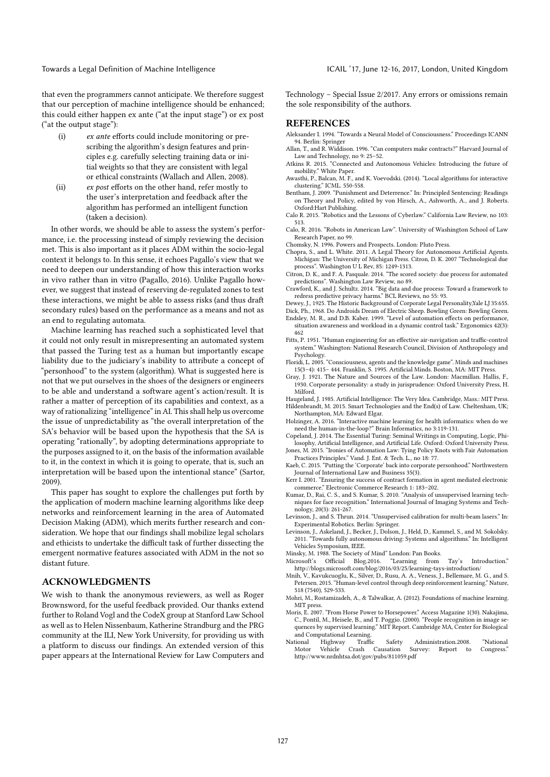Towards a Legal Definition of Machine Intelligence Internal CAIL '17, June 12-16, 2017, London, United Kingdom

that even the programmers cannot anticipate. We therefore suggest that our perception of machine intelligence should be enhanced; this could either happen ex ante ("at the input stage") or ex post ("at the output stage"):

- (i) *ex ante* efforts could include monitoring or prescribing the algorithm's design features and principles e.g. carefully selecting training data or initial weights so that they are consistent with legal or ethical constraints (Wallach and Allen, 2008).
- (ii) *ex post* efforts on the other hand, refer mostly to the user's interpretation and feedback after the algorithm has performed an intelligent function (taken a decision).

In other words, we should be able to assess the system's performance, i.e. the processing instead of simply reviewing the decision met. This is also important as it places ADM within the socio-legal context it belongs to. In this sense, it echoes Pagallo's view that we need to deepen our understanding of how this interaction works in vivo rather than in vitro (Pagallo, 2016). Unlike Pagallo however, we suggest that instead of reserving de-regulated zones to test these interactions, we might be able to assess risks (and thus draft secondary rules) based on the performance as a means and not as an end to regulating automata.

Machine learning has reached such a sophisticated level that it could not only result in misrepresenting an automated system that passed the Turing test as a human but importantly escape liability due to the judiciary's inability to attribute a concept of "personhood" to the system (algorithm). What is suggested here is not that we put ourselves in the shoes of the designers or engineers to be able and understand a software agent's action/result. It is rather a matter of perception of its capabilities and context, as a way of rationalizing "intelligence" in AI. This shall help us overcome the issue of unpredictability as "the overall interpretation of the SA's behavior will be based upon the hypothesis that the SA is operating "rationally", by adopting determinations appropriate to the purposes assigned to it, on the basis of the information available to it, in the context in which it is going to operate, that is, such an interpretation will be based upon the intentional stance" (Sartor, 2009).

This paper has sought to explore the challenges put forth by the application of modern machine learning algorithms like deep networks and reinforcement learning in the area of Automated Decision Making (ADM), which merits further research and consideration. We hope that our findings shall mobilize legal scholars and ethicists to undertake the difficult task of further dissecting the emergent normative features associated with ADM in the not so distant future.

### ACKNOWLEDGMENTS

We wish to thank the anonymous reviewers, as well as Roger Brownsword, for the useful feedback provided. Our thanks extend further to Roland Vogl and the CodeX group at Stanford Law School as well as to Helen Nissenbaum, Katherine Strandburg and the PRG community at the ILI, New York University, for providing us with a platform to discuss our findings. An extended version of this paper appears at the International Review for Law Computers and

Technology – Special Issue 2/2017. Any errors or omissions remain the sole responsibility of the authors.

### **REFERENCES**

- Aleksander I. 1994. "Towards a Neural Model of Consciousness." Proceedings ICANN 94. Berlin: Springer
- Allan, T., and R. Widdison. 1996. "Can computers make contracts?" Harvard Journal of Law and Technology, no 9: 25–52.
- Atkins R. 2015. "Connected and Autonomous Vehicles: Introducing the future of mobility." White Paper.
- Awasthi, P., Balcan, M. F., and K. Voevodski. (2014). "Local algorithms for interactive clustering." ICML. 550-558.
- Bentham, J. 2009. "Punishment and Deterrence." In: Principled Sentencing: Readings on Theory and Policy, edited by von Hirsch, A., Ashworth, A., and J. Roberts. Oxford:Hart Publishing.
- Calo R. 2015. "Robotics and the Lessons of Cyberlaw." California Law Review, no 103: 513.
- Calo, R. 2016. "Robots in American Law". University of Washington School of Law Research Paper, no 99.
- Chomsky, N. 1996. Powers and Prospects. London: Pluto Press.
- Chona, S., and L. White. 2011. A Legal Theory for Autonomous Artificial Agents. Michigan: The University of Michigan Press. Citron, D. K. 2007 "Technological due process". Washington U L Rev, 85: 1249-1313.
- Citron, D. K., and F. A. Pasquale. 2014. "The scored society: due process for automated predictions". Washington Law Review, no 89.
- Crawford, K., and J. Schultz. 2014. "Big data and due process: Toward a framework to redress predictive privacy harms." BCL Reviews, no 55: 93.

Dewey, J., 1925. The Historic Background of Corporate Legal Personality,Yale LJ 35:655.

Dick, Ph., 1968. Do Androids Dream of Electric Sheep. Bowling Green: Bowling Green. Endsley, M. R., and D.B. Kaber. 1999. "Level of automation effects on performance,

- situation awareness and workload in a dynamic control task." Ergonomics 42(3): 462
- Fitts, P. 1951. "Human engineering for an effective air-navigation and traffic-control system." Washington: National Research Council, Division of Anthropology and Psychology.
- Floridi, L. 2005. "Consciousness, agents and the knowledge game". Minds and machines 15(3-4): 415- 444. Franklin, S. 1995. Artificial Minds. Boston, MA: MIT Press.
- Gray, J. 1921. The Nature and Sources of the Law. London: Macmillan. Hallis, F., 1930. Corporate personality: a study in jurisprudence: Oxford University Press, H. Milford.
- Haugeland, J. 1985. Artificial Intelligence: The Very Idea. Cambridge, Mass.: MIT Press. Hildenbrandt, M. 2015. Smart Technologies and the End(s) of Law. Cheltenham, UK; Northampton, MA: Edward Elgar.
- Holzinger, A. 2016. "Interactive machine learning for health informatics: when do we need the human-in-the-loop?" Brain Informatics, no 3:119-131.

Copeland, J. 2014. The Essential Turing: Seminal Writings in Computing, Logic, Philosophy, Artificial Intelligence, and Artificial Life. Oxford: Oxford University Press.

- Jones, M. 2015. "Ironies of Automation Law: Tying Policy Knots with Fair Automation Practices Principles." Vand. J. Ent. & Tech. L., no 18: 77.
- Kaeb, C. 2015. "Putting the 'Corporate' back into corporate personhood." Northwestern Journal of International Law and Business 35(3).
- Kerr I. 2001. "Ensuring the success of contract formation in agent mediated electronic commerce." Electronic Commerce Research 1: 183–202.
- Kumar, D., Rai, C. S., and S. Kumar, S. 2010. "Analysis of unsupervised learning techniques for face recognition." International Journal of Imaging Systems and Technology, 20(3): 261-267.
- Levinson, J., and S. Thrun. 2014. "Unsupervised calibration for multi-beam lasers." In: Experimental Robotics. Berlin: Springer. Levinson, J., Askeland, J., Becker, J., Dolson, J., Held, D., Kammel, S., and M. Sokolsky.
- 2011. "Towards fully autonomous driving: Systems and algorithms." In: Intelligent Vehicles Symposium, IEEE.
- Minsky, M. 1988. The Society of Mind" London: Pan Books.
- Microsoft's Official Blog.2016. "Learning from Tay's Introduction." http://blogs.microsoft.com/blog/2016/03/25/learning-tays-introduction/
- Mnih, V., Kavukcuoglu, K., Silver, D., Rusu, A. A., Veness, J., Bellemare, M. G., and S. Petersen. 2015. "Human-level control through deep reinforcement learning." Nature, 518 (7540), 529-533.
- Mohri, M., Rostamizadeh, A., & Talwalkar, A. (2012). Foundations of machine learning. MIT press. Moris, E. 2007. "From Horse Power to Horsepower." Access Magazine 1(30). Nakajima,
- C., Pontil, M., Heisele, B., and T. Poggio. (2000). "People recognition in image sequences by supervised learning." MIT Report. Cambridge MA, Center for Biological and Computational Learning.
- National Highway Traffic Safety Administration.2008. "National Motor Vehicle Crash Causation Survey: Report to Congress." Motor Vehicle Crash Causation Survey: Report to http://www.nrdnhtsa.dot/gov/pubs/811059.pdf